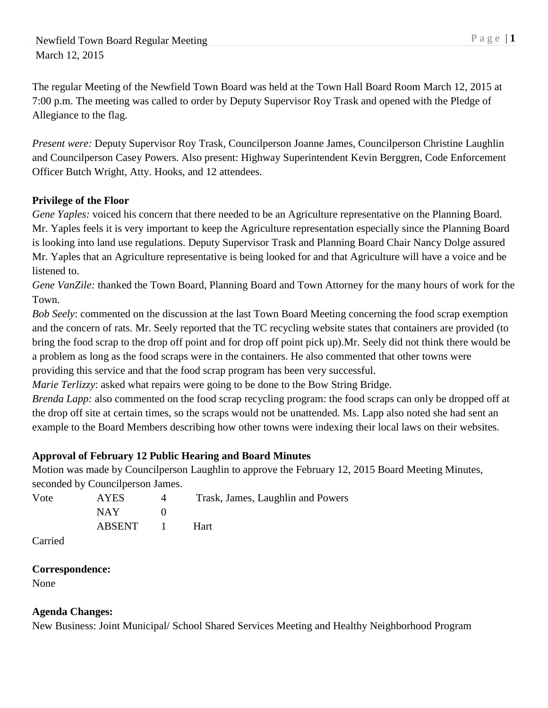The regular Meeting of the Newfield Town Board was held at the Town Hall Board Room March 12, 2015 at 7:00 p.m. The meeting was called to order by Deputy Supervisor Roy Trask and opened with the Pledge of Allegiance to the flag.

*Present were:* Deputy Supervisor Roy Trask, Councilperson Joanne James, Councilperson Christine Laughlin and Councilperson Casey Powers. Also present: Highway Superintendent Kevin Berggren, Code Enforcement Officer Butch Wright, Atty. Hooks, and 12 attendees.

## **Privilege of the Floor**

*Gene Yaples:* voiced his concern that there needed to be an Agriculture representative on the Planning Board. Mr. Yaples feels it is very important to keep the Agriculture representation especially since the Planning Board is looking into land use regulations. Deputy Supervisor Trask and Planning Board Chair Nancy Dolge assured Mr. Yaples that an Agriculture representative is being looked for and that Agriculture will have a voice and be listened to.

*Gene VanZile:* thanked the Town Board, Planning Board and Town Attorney for the many hours of work for the Town.

*Bob Seely*: commented on the discussion at the last Town Board Meeting concerning the food scrap exemption and the concern of rats. Mr. Seely reported that the TC recycling website states that containers are provided (to bring the food scrap to the drop off point and for drop off point pick up).Mr. Seely did not think there would be a problem as long as the food scraps were in the containers. He also commented that other towns were providing this service and that the food scrap program has been very successful.

*Marie Terlizzy*: asked what repairs were going to be done to the Bow String Bridge.

*Brenda Lapp:* also commented on the food scrap recycling program: the food scraps can only be dropped off at the drop off site at certain times, so the scraps would not be unattended. Ms. Lapp also noted she had sent an example to the Board Members describing how other towns were indexing their local laws on their websites.

## **Approval of February 12 Public Hearing and Board Minutes**

Motion was made by Councilperson Laughlin to approve the February 12, 2015 Board Meeting Minutes, seconded by Councilperson James.

| Vote | AYES   |        | Trask, James, Laughlin and Powers |
|------|--------|--------|-----------------------------------|
|      | NAY .  |        |                                   |
|      | ABSENT | $\Box$ | <b>Hart</b>                       |

Carried

## **Correspondence:**

None

## **Agenda Changes:**

New Business: Joint Municipal/ School Shared Services Meeting and Healthy Neighborhood Program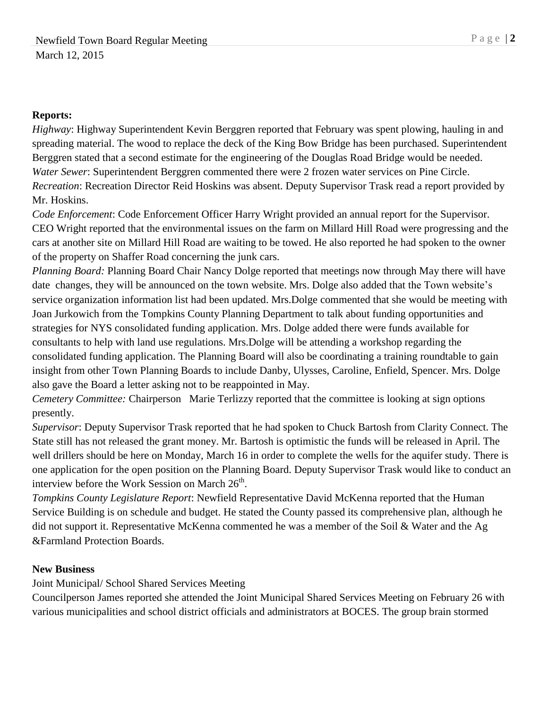### **Reports:**

*Highway*: Highway Superintendent Kevin Berggren reported that February was spent plowing, hauling in and spreading material. The wood to replace the deck of the King Bow Bridge has been purchased. Superintendent Berggren stated that a second estimate for the engineering of the Douglas Road Bridge would be needed. *Water Sewer*: Superintendent Berggren commented there were 2 frozen water services on Pine Circle. *Recreation*: Recreation Director Reid Hoskins was absent. Deputy Supervisor Trask read a report provided by Mr. Hoskins.

*Code Enforcement*: Code Enforcement Officer Harry Wright provided an annual report for the Supervisor. CEO Wright reported that the environmental issues on the farm on Millard Hill Road were progressing and the cars at another site on Millard Hill Road are waiting to be towed. He also reported he had spoken to the owner of the property on Shaffer Road concerning the junk cars.

*Planning Board:* Planning Board Chair Nancy Dolge reported that meetings now through May there will have date changes, they will be announced on the town website. Mrs. Dolge also added that the Town website's service organization information list had been updated. Mrs.Dolge commented that she would be meeting with Joan Jurkowich from the Tompkins County Planning Department to talk about funding opportunities and strategies for NYS consolidated funding application. Mrs. Dolge added there were funds available for consultants to help with land use regulations. Mrs.Dolge will be attending a workshop regarding the consolidated funding application. The Planning Board will also be coordinating a training roundtable to gain insight from other Town Planning Boards to include Danby, Ulysses, Caroline, Enfield, Spencer. Mrs. Dolge also gave the Board a letter asking not to be reappointed in May.

*Cemetery Committee:* Chairperson Marie Terlizzy reported that the committee is looking at sign options presently.

*Supervisor*: Deputy Supervisor Trask reported that he had spoken to Chuck Bartosh from Clarity Connect. The State still has not released the grant money. Mr. Bartosh is optimistic the funds will be released in April. The well drillers should be here on Monday, March 16 in order to complete the wells for the aquifer study. There is one application for the open position on the Planning Board. Deputy Supervisor Trask would like to conduct an interview before the Work Session on March  $26<sup>th</sup>$ .

*Tompkins County Legislature Report*: Newfield Representative David McKenna reported that the Human Service Building is on schedule and budget. He stated the County passed its comprehensive plan, although he did not support it. Representative McKenna commented he was a member of the Soil & Water and the Ag &Farmland Protection Boards.

### **New Business**

Joint Municipal/ School Shared Services Meeting

Councilperson James reported she attended the Joint Municipal Shared Services Meeting on February 26 with various municipalities and school district officials and administrators at BOCES. The group brain stormed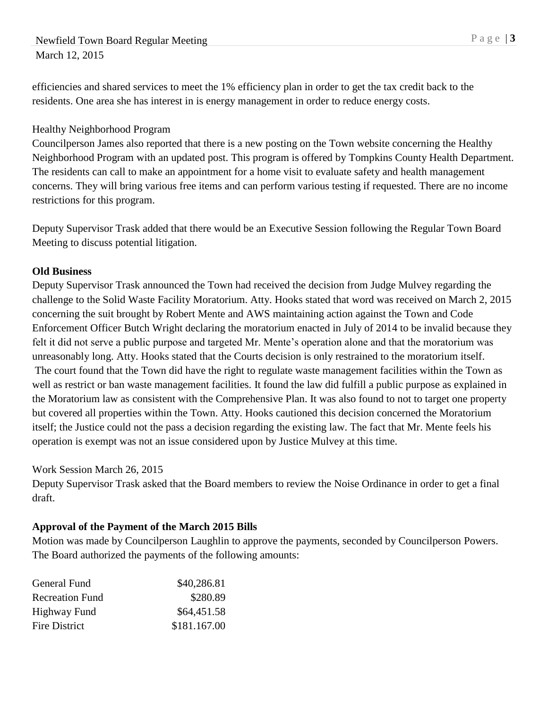# Newfield Town Board Regular Meeting P a g e | 3 March 12, 2015

efficiencies and shared services to meet the 1% efficiency plan in order to get the tax credit back to the residents. One area she has interest in is energy management in order to reduce energy costs.

### Healthy Neighborhood Program

Councilperson James also reported that there is a new posting on the Town website concerning the Healthy Neighborhood Program with an updated post. This program is offered by Tompkins County Health Department. The residents can call to make an appointment for a home visit to evaluate safety and health management concerns. They will bring various free items and can perform various testing if requested. There are no income restrictions for this program.

Deputy Supervisor Trask added that there would be an Executive Session following the Regular Town Board Meeting to discuss potential litigation.

### **Old Business**

Deputy Supervisor Trask announced the Town had received the decision from Judge Mulvey regarding the challenge to the Solid Waste Facility Moratorium. Atty. Hooks stated that word was received on March 2, 2015 concerning the suit brought by Robert Mente and AWS maintaining action against the Town and Code Enforcement Officer Butch Wright declaring the moratorium enacted in July of 2014 to be invalid because they felt it did not serve a public purpose and targeted Mr. Mente's operation alone and that the moratorium was unreasonably long. Atty. Hooks stated that the Courts decision is only restrained to the moratorium itself. The court found that the Town did have the right to regulate waste management facilities within the Town as well as restrict or ban waste management facilities. It found the law did fulfill a public purpose as explained in the Moratorium law as consistent with the Comprehensive Plan. It was also found to not to target one property but covered all properties within the Town. Atty. Hooks cautioned this decision concerned the Moratorium itself; the Justice could not the pass a decision regarding the existing law. The fact that Mr. Mente feels his operation is exempt was not an issue considered upon by Justice Mulvey at this time.

### Work Session March 26, 2015

Deputy Supervisor Trask asked that the Board members to review the Noise Ordinance in order to get a final draft.

## **Approval of the Payment of the March 2015 Bills**

Motion was made by Councilperson Laughlin to approve the payments, seconded by Councilperson Powers. The Board authorized the payments of the following amounts:

| General Fund           | \$40,286.81  |
|------------------------|--------------|
| <b>Recreation Fund</b> | \$280.89     |
| Highway Fund           | \$64,451.58  |
| Fire District          | \$181.167.00 |